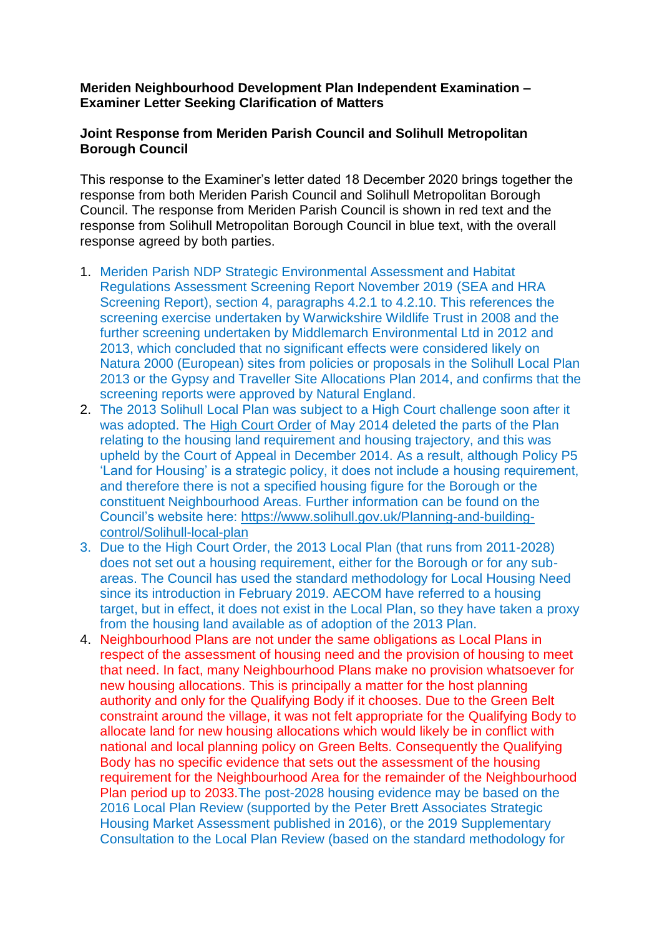## **Meriden Neighbourhood Development Plan Independent Examination – Examiner Letter Seeking Clarification of Matters**

## **Joint Response from Meriden Parish Council and Solihull Metropolitan Borough Council**

This response to the Examiner's letter dated 18 December 2020 brings together the response from both Meriden Parish Council and Solihull Metropolitan Borough Council. The response from Meriden Parish Council is shown in red text and the response from Solihull Metropolitan Borough Council in blue text, with the overall response agreed by both parties.

- 1. Meriden Parish NDP Strategic Environmental Assessment and Habitat Regulations Assessment Screening Report November 2019 (SEA and HRA Screening Report), section 4, paragraphs 4.2.1 to 4.2.10. This references the screening exercise undertaken by Warwickshire Wildlife Trust in 2008 and the further screening undertaken by Middlemarch Environmental Ltd in 2012 and 2013, which concluded that no significant effects were considered likely on Natura 2000 (European) sites from policies or proposals in the Solihull Local Plan 2013 or the Gypsy and Traveller Site Allocations Plan 2014, and confirms that the screening reports were approved by Natural England.
- 2. The 2013 Solihull Local Plan was subject to a High Court challenge soon after it was adopted. The [High Court Order](https://www.solihull.gov.uk/sites/default/files/migrated/Planning_LDF_Final_Order.pdf) of May 2014 deleted the parts of the Plan relating to the housing land requirement and housing trajectory, and this was upheld by the Court of Appeal in December 2014. As a result, although Policy P5 'Land for Housing' is a strategic policy, it does not include a housing requirement, and therefore there is not a specified housing figure for the Borough or the constituent Neighbourhood Areas. Further information can be found on the Council's website here: [https://www.solihull.gov.uk/Planning-and-building](https://www.solihull.gov.uk/Planning-and-building-control/Solihull-local-plan)[control/Solihull-local-plan](https://www.solihull.gov.uk/Planning-and-building-control/Solihull-local-plan)
- 3. Due to the High Court Order, the 2013 Local Plan (that runs from 2011-2028) does not set out a housing requirement, either for the Borough or for any subareas. The Council has used the standard methodology for Local Housing Need since its introduction in February 2019. AECOM have referred to a housing target, but in effect, it does not exist in the Local Plan, so they have taken a proxy from the housing land available as of adoption of the 2013 Plan.
- 4. Neighbourhood Plans are not under the same obligations as Local Plans in respect of the assessment of housing need and the provision of housing to meet that need. In fact, many Neighbourhood Plans make no provision whatsoever for new housing allocations. This is principally a matter for the host planning authority and only for the Qualifying Body if it chooses. Due to the Green Belt constraint around the village, it was not felt appropriate for the Qualifying Body to allocate land for new housing allocations which would likely be in conflict with national and local planning policy on Green Belts. Consequently the Qualifying Body has no specific evidence that sets out the assessment of the housing requirement for the Neighbourhood Area for the remainder of the Neighbourhood Plan period up to 2033.The post-2028 housing evidence may be based on the 2016 Local Plan Review (supported by the Peter Brett Associates Strategic Housing Market Assessment published in 2016), or the 2019 Supplementary Consultation to the Local Plan Review (based on the standard methodology for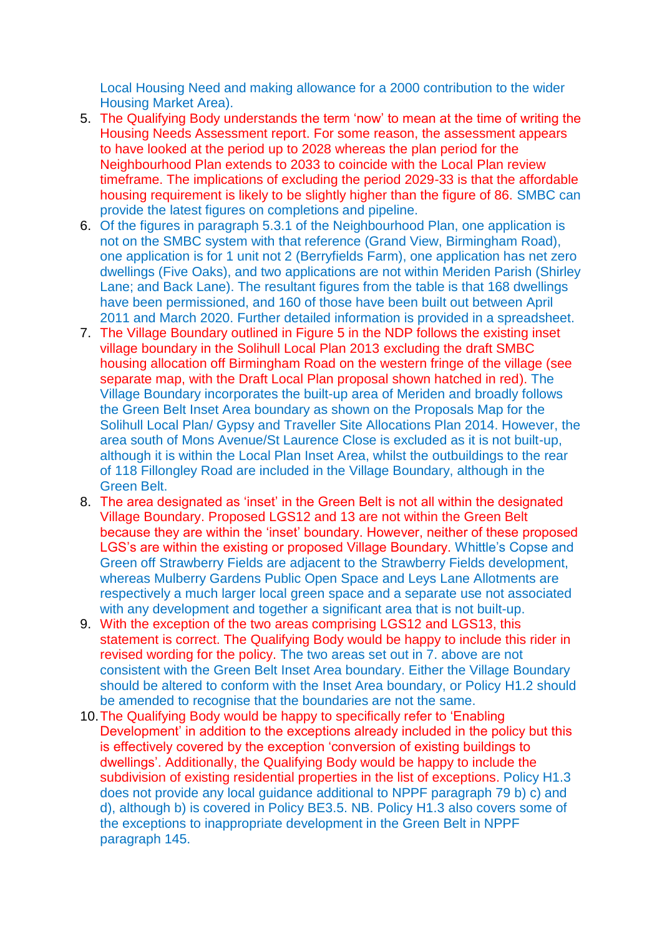Local Housing Need and making allowance for a 2000 contribution to the wider Housing Market Area).

- 5. The Qualifying Body understands the term 'now' to mean at the time of writing the Housing Needs Assessment report. For some reason, the assessment appears to have looked at the period up to 2028 whereas the plan period for the Neighbourhood Plan extends to 2033 to coincide with the Local Plan review timeframe. The implications of excluding the period 2029-33 is that the affordable housing requirement is likely to be slightly higher than the figure of 86. SMBC can provide the latest figures on completions and pipeline.
- 6. Of the figures in paragraph 5.3.1 of the Neighbourhood Plan, one application is not on the SMBC system with that reference (Grand View, Birmingham Road), one application is for 1 unit not 2 (Berryfields Farm), one application has net zero dwellings (Five Oaks), and two applications are not within Meriden Parish (Shirley Lane; and Back Lane). The resultant figures from the table is that 168 dwellings have been permissioned, and 160 of those have been built out between April 2011 and March 2020. Further detailed information is provided in a spreadsheet.
- 7. The Village Boundary outlined in Figure 5 in the NDP follows the existing inset village boundary in the Solihull Local Plan 2013 excluding the draft SMBC housing allocation off Birmingham Road on the western fringe of the village (see separate map, with the Draft Local Plan proposal shown hatched in red). The Village Boundary incorporates the built-up area of Meriden and broadly follows the Green Belt Inset Area boundary as shown on the Proposals Map for the Solihull Local Plan/ Gypsy and Traveller Site Allocations Plan 2014. However, the area south of Mons Avenue/St Laurence Close is excluded as it is not built-up, although it is within the Local Plan Inset Area, whilst the outbuildings to the rear of 118 Fillongley Road are included in the Village Boundary, although in the Green Belt.
- 8. The area designated as 'inset' in the Green Belt is not all within the designated Village Boundary. Proposed LGS12 and 13 are not within the Green Belt because they are within the 'inset' boundary. However, neither of these proposed LGS's are within the existing or proposed Village Boundary. Whittle's Copse and Green off Strawberry Fields are adjacent to the Strawberry Fields development, whereas Mulberry Gardens Public Open Space and Leys Lane Allotments are respectively a much larger local green space and a separate use not associated with any development and together a significant area that is not built-up.
- 9. With the exception of the two areas comprising LGS12 and LGS13, this statement is correct. The Qualifying Body would be happy to include this rider in revised wording for the policy. The two areas set out in 7. above are not consistent with the Green Belt Inset Area boundary. Either the Village Boundary should be altered to conform with the Inset Area boundary, or Policy H1.2 should be amended to recognise that the boundaries are not the same.
- 10.The Qualifying Body would be happy to specifically refer to 'Enabling Development' in addition to the exceptions already included in the policy but this is effectively covered by the exception 'conversion of existing buildings to dwellings'. Additionally, the Qualifying Body would be happy to include the subdivision of existing residential properties in the list of exceptions. Policy H1.3 does not provide any local guidance additional to NPPF paragraph 79 b) c) and d), although b) is covered in Policy BE3.5. NB. Policy H1.3 also covers some of the exceptions to inappropriate development in the Green Belt in NPPF paragraph 145.